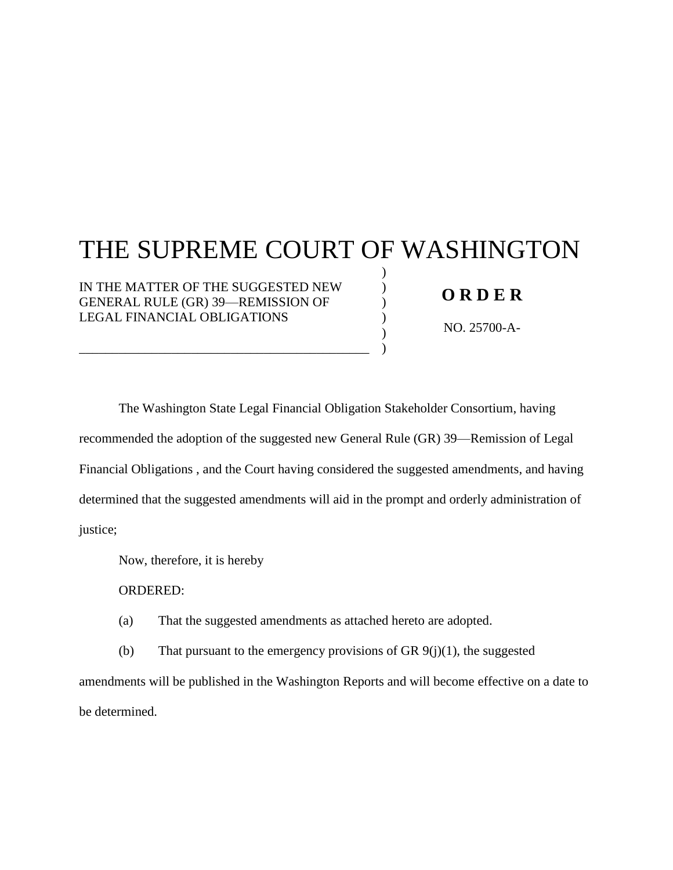**FILED SUPREME COURT STATE OF WASHINGTON JUNE 4, 2021** BY SUSAN L. CARLSON **CLERK** 

# THE SUPREME COURT OF WASHINGTON

) ) ) ) ) )

IN THE MATTER OF THE SUGGESTED NEW GENERAL RULE (GR) 39—REMISSION OF LEGAL FINANCIAL OBLIGATIONS

\_\_\_\_\_\_\_\_\_\_\_\_\_\_\_\_\_\_\_\_\_\_\_\_\_\_\_\_\_\_\_\_\_\_\_\_\_\_\_\_\_\_\_\_

## **O R D E R**

NO. 25700-A-1350

The Washington State Legal Financial Obligation Stakeholder Consortium, having recommended the adoption of the suggested new General Rule (GR) 39—Remission of Legal Financial Obligations , and the Court having considered the suggested amendments, and having determined that the suggested amendments will aid in the prompt and orderly administration of justice;

Now, therefore, it is hereby

ORDERED:

(a) That the suggested amendments as attached hereto are adopted.

(b) That pursuant to the emergency provisions of GR  $9(j)(1)$ , the suggested amendments will be published in the Washington Reports and will become effective on a date to be determined.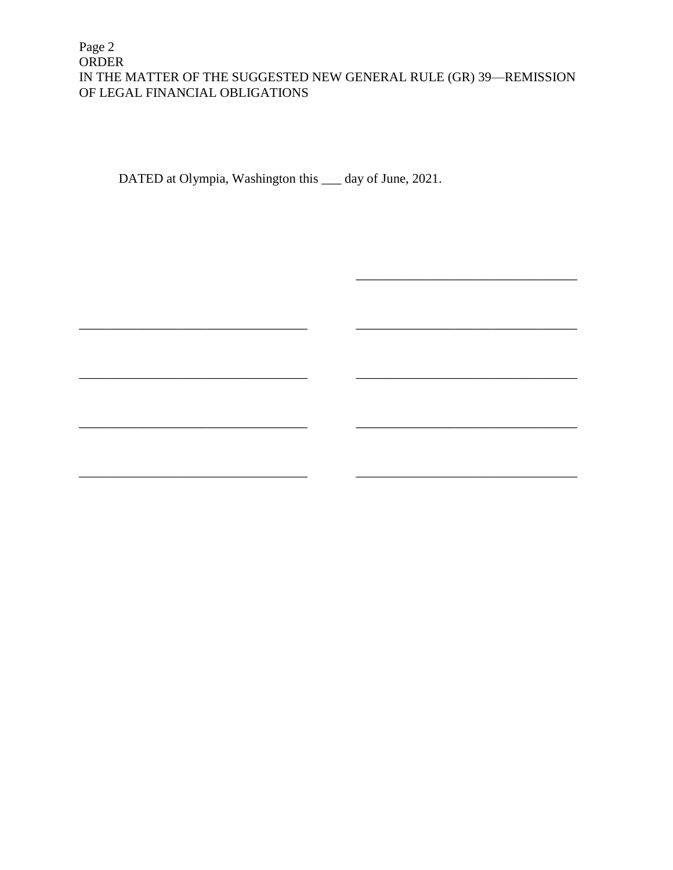DATED at Olympia, Washington this 4th day of June, 2021.

ห2่รุ González

Johnson, J.

Madsen, J.

Owe

Stephens, J.

Gordon McCloud, J.

Yu,

Montoya-Lewis, J

Whitener, J.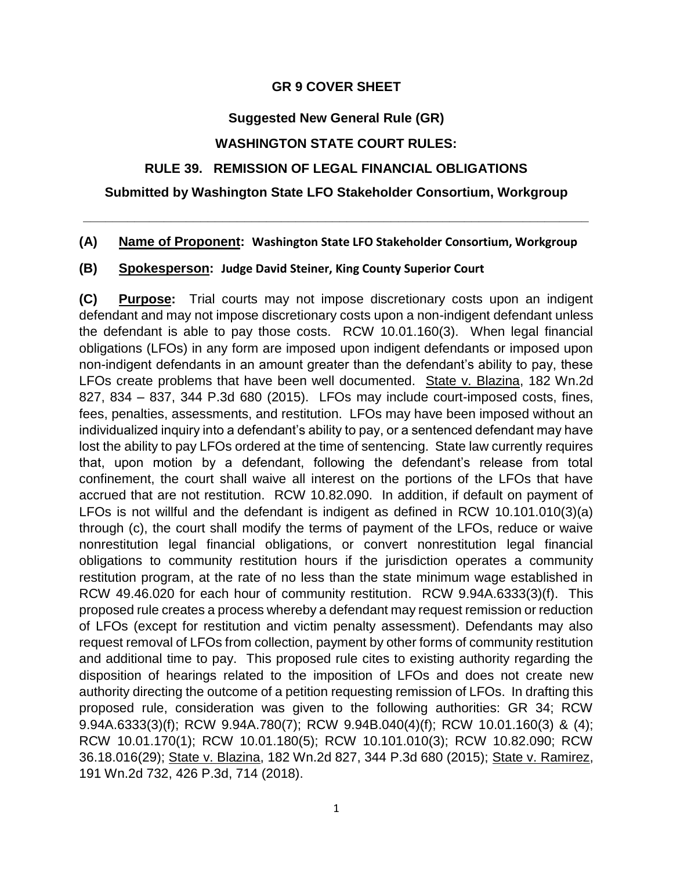#### **GR 9 COVER SHEET**

## **Suggested New General Rule (GR)**

## **WASHINGTON STATE COURT RULES:**

## **RULE 39. REMISSION OF LEGAL FINANCIAL OBLIGATIONS**

#### **Submitted by Washington State LFO Stakeholder Consortium, Workgroup**

**\_\_\_\_\_\_\_\_\_\_\_\_\_\_\_\_\_\_\_\_\_\_\_\_\_\_\_\_\_\_\_\_\_\_\_\_\_\_\_\_\_\_\_\_\_\_\_\_\_\_\_\_\_\_\_\_\_\_\_\_\_\_\_\_\_\_\_\_\_**

#### **(A) Name of Proponent: Washington State LFO Stakeholder Consortium, Workgroup**

#### **(B) Spokesperson: Judge David Steiner, King County Superior Court**

**(C) Purpose:** Trial courts may not impose discretionary costs upon an indigent defendant and may not impose discretionary costs upon a non-indigent defendant unless the defendant is able to pay those costs. RCW 10.01.160(3). When legal financial obligations (LFOs) in any form are imposed upon indigent defendants or imposed upon non-indigent defendants in an amount greater than the defendant's ability to pay, these LFOs create problems that have been well documented. State v. Blazina, 182 Wn.2d 827, 834 – 837, 344 P.3d 680 (2015). LFOs may include court-imposed costs, fines, fees, penalties, assessments, and restitution. LFOs may have been imposed without an individualized inquiry into a defendant's ability to pay, or a sentenced defendant may have lost the ability to pay LFOs ordered at the time of sentencing. State law currently requires that, upon motion by a defendant, following the defendant's release from total confinement, the court shall waive all interest on the portions of the LFOs that have accrued that are not restitution. RCW 10.82.090. In addition, if default on payment of LFOs is not willful and the defendant is indigent as defined in RCW 10.101.010(3)(a) through (c), the court shall modify the terms of payment of the LFOs, reduce or waive nonrestitution legal financial obligations, or convert nonrestitution legal financial obligations to community restitution hours if the jurisdiction operates a community restitution program, at the rate of no less than the state minimum wage established in RCW 49.46.020 for each hour of community restitution. RCW 9.94A.6333(3)(f). This proposed rule creates a process whereby a defendant may request remission or reduction of LFOs (except for restitution and victim penalty assessment). Defendants may also request removal of LFOs from collection, payment by other forms of community restitution and additional time to pay. This proposed rule cites to existing authority regarding the disposition of hearings related to the imposition of LFOs and does not create new authority directing the outcome of a petition requesting remission of LFOs. In drafting this proposed rule, consideration was given to the following authorities: GR 34; RCW 9.94A.6333(3)(f); RCW 9.94A.780(7); RCW 9.94B.040(4)(f); RCW 10.01.160(3) & (4); RCW 10.01.170(1); RCW 10.01.180(5); RCW 10.101.010(3); RCW 10.82.090; RCW 36.18.016(29); State v. Blazina, 182 Wn.2d 827, 344 P.3d 680 (2015); State v. Ramirez, 191 Wn.2d 732, 426 P.3d, 714 (2018).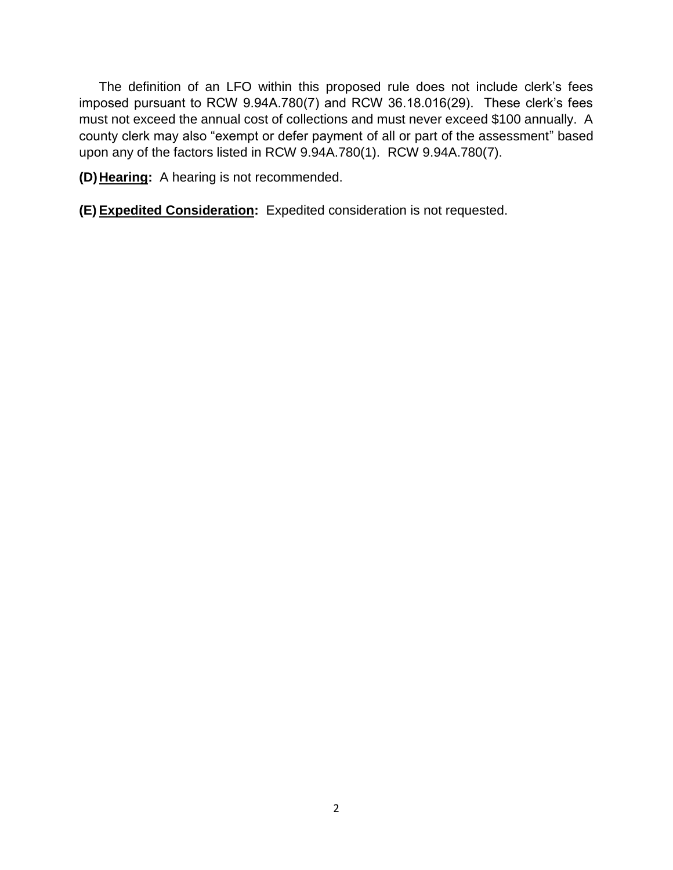The definition of an LFO within this proposed rule does not include clerk's fees imposed pursuant to RCW 9.94A.780(7) and RCW 36.18.016(29). These clerk's fees must not exceed the annual cost of collections and must never exceed \$100 annually. A county clerk may also "exempt or defer payment of all or part of the assessment" based upon any of the factors listed in RCW 9.94A.780(1). RCW 9.94A.780(7).

**(D) Hearing:** A hearing is not recommended.

**(E) Expedited Consideration:** Expedited consideration is not requested.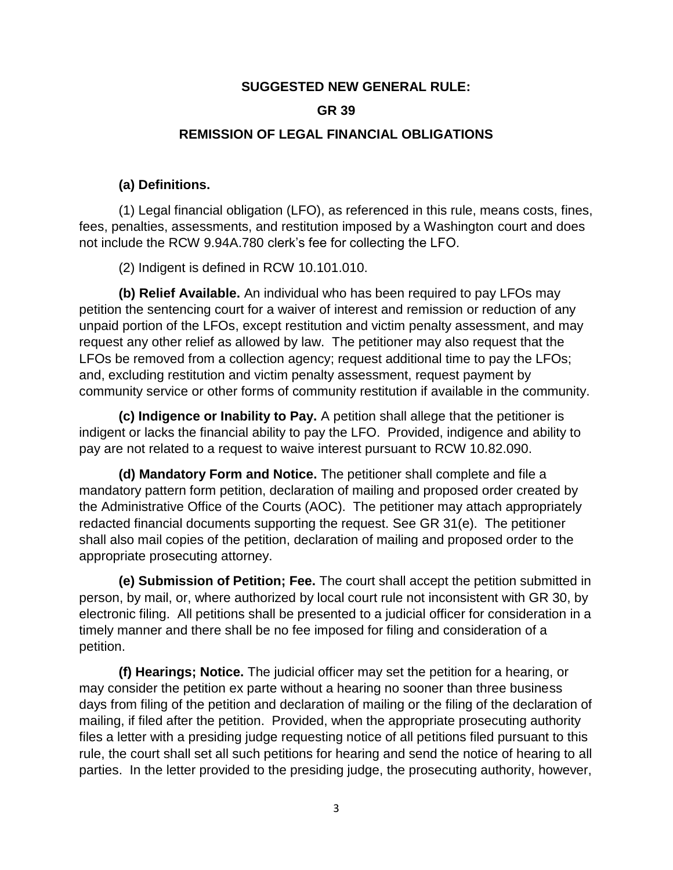#### **SUGGESTED NEW GENERAL RULE:**

#### **GR 39**

#### **REMISSION OF LEGAL FINANCIAL OBLIGATIONS**

#### **(a) Definitions.**

(1) Legal financial obligation (LFO), as referenced in this rule, means costs, fines, fees, penalties, assessments, and restitution imposed by a Washington court and does not include the RCW 9.94A.780 clerk's fee for collecting the LFO.

(2) Indigent is defined in RCW 10.101.010.

**(b) Relief Available.** An individual who has been required to pay LFOs may petition the sentencing court for a waiver of interest and remission or reduction of any unpaid portion of the LFOs, except restitution and victim penalty assessment, and may request any other relief as allowed by law. The petitioner may also request that the LFOs be removed from a collection agency; request additional time to pay the LFOs; and, excluding restitution and victim penalty assessment, request payment by community service or other forms of community restitution if available in the community.

**(c) Indigence or Inability to Pay.** A petition shall allege that the petitioner is indigent or lacks the financial ability to pay the LFO. Provided, indigence and ability to pay are not related to a request to waive interest pursuant to RCW 10.82.090.

**(d) Mandatory Form and Notice.** The petitioner shall complete and file a mandatory pattern form petition, declaration of mailing and proposed order created by the Administrative Office of the Courts (AOC). The petitioner may attach appropriately redacted financial documents supporting the request. See GR 31(e). The petitioner shall also mail copies of the petition, declaration of mailing and proposed order to the appropriate prosecuting attorney.

**(e) Submission of Petition; Fee.** The court shall accept the petition submitted in person, by mail, or, where authorized by local court rule not inconsistent with GR 30, by electronic filing. All petitions shall be presented to a judicial officer for consideration in a timely manner and there shall be no fee imposed for filing and consideration of a petition.

**(f) Hearings; Notice.** The judicial officer may set the petition for a hearing, or may consider the petition ex parte without a hearing no sooner than three business days from filing of the petition and declaration of mailing or the filing of the declaration of mailing, if filed after the petition. Provided, when the appropriate prosecuting authority files a letter with a presiding judge requesting notice of all petitions filed pursuant to this rule, the court shall set all such petitions for hearing and send the notice of hearing to all parties. In the letter provided to the presiding judge, the prosecuting authority, however,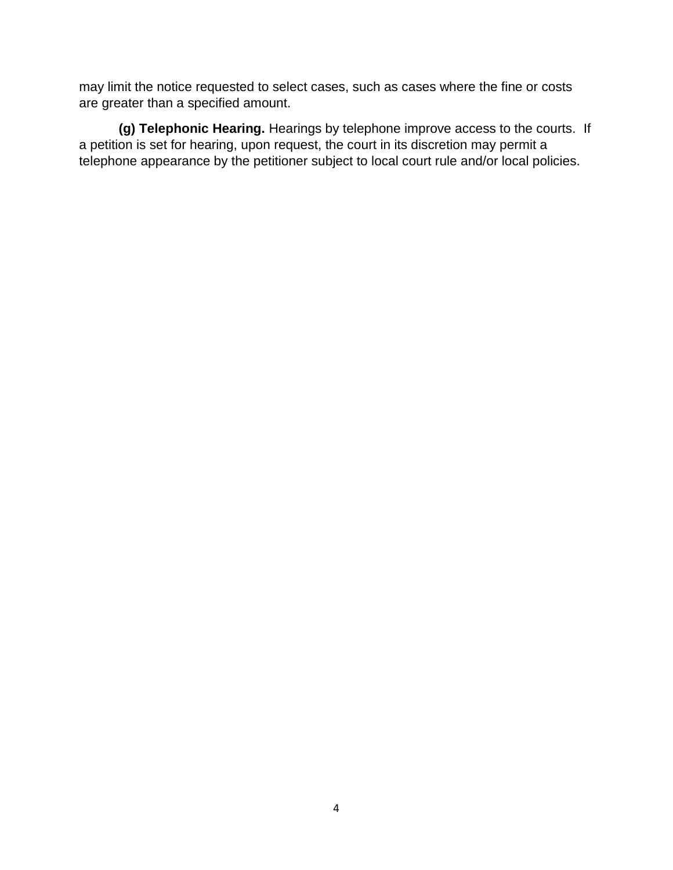may limit the notice requested to select cases, such as cases where the fine or costs are greater than a specified amount.

**(g) Telephonic Hearing.** Hearings by telephone improve access to the courts. If a petition is set for hearing, upon request, the court in its discretion may permit a telephone appearance by the petitioner subject to local court rule and/or local policies.